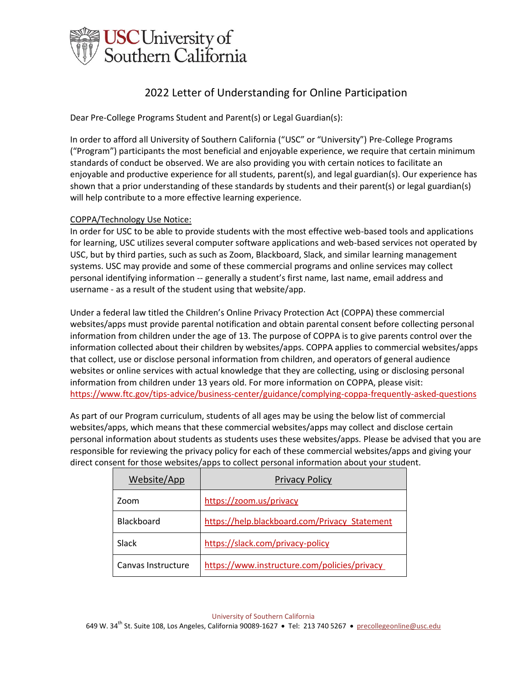

Dear Pre-College Programs Student and Parent(s) or Legal Guardian(s):

In order to afford all University of Southern California ("USC" or "University") Pre-College Programs ("Program") participants the most beneficial and enjoyable experience, we require that certain minimum standards of conduct be observed. We are also providing you with certain notices to facilitate an enjoyable and productive experience for all students, parent(s), and legal guardian(s). Our experience has shown that a prior understanding of these standards by students and their parent(s) or legal guardian(s) will help contribute to a more effective learning experience.

## COPPA/Technology Use Notice:

In order for USC to be able to provide students with the most effective web-based tools and applications for learning, USC utilizes several computer software applications and web-based services not operated by USC, but by third parties, such as such as Zoom, Blackboard, Slack, and similar learning management systems. USC may provide and some of these commercial programs and online services may collect personal identifying information - generally a student's first name, last name, email address and username - as a result of the student using that website/app.

Under a federal law titled the Children's Online Privacy Protection Act (COPPA) these commercial websites/apps must provide parental notification and obtain parental consent before collecting personal information from children under the age of 13. The purpose of COPPA is to give parents control over the information collected about their children by websites/apps. COPPA applies to commercial websites/apps that collect, use or disclose personal information from children, and operators of general audience websites or online services with actual knowledge that they are collecting, using or disclosing personal information from children under 13 years old. For more information on COPPA, please visit[:](https://www.ftc.gov/tips-advice/business-center/guidance/complying-coppa-frequently-asked-questions) <https://www.ftc.gov/tips-advice/business-center/guidance/complying-coppa-frequently-asked-questions>

As part of our Program curriculum, students of all ages may be using the below list of commercial websites/apps, which means that these commercial websites/apps may collect and disclose certain personal information about students as students uses these websites/apps. Please be advised that you are responsible for reviewing the privacy policy for each of these commercial websites/apps and giving your direct consent for those websites/apps to collect personal information about your student.

| Website/App        | <b>Privacy Policy</b>                         |
|--------------------|-----------------------------------------------|
| Zoom               | https://zoom.us/privacy                       |
| Blackboard         | https://help.blackboard.com/Privacy Statement |
| Slack              | https://slack.com/privacy-policy              |
| Canvas Instructure | https://www.instructure.com/policies/privacy  |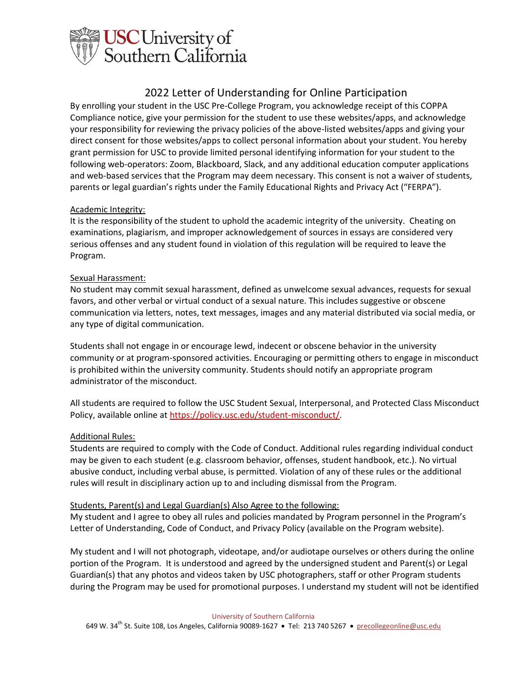

By enrolling your student in the USC Pre-College Program, you acknowledge receipt of this COPPA Compliance notice, give your permission for the student to use these websites/apps, and acknowledge your responsibility for reviewing the privacy policies of the above-listed websites/apps and giving your direct consent for those websites/apps to collect personal information about your student. You hereby grant permission for USC to provide limited personal identifying information for your student to the following web-operators: Zoom, Blackboard, Slack, and any additional education computer applications and web-based services that the Program may deem necessary. This consent is not a waiver of students, parents or legal guardian's rights under the Family Educational Rights and Privacy Act ("FERPA").

## Academic Integrity:

It is the responsibility of the student to uphold the academic integrity of the university. Cheating on examinations, plagiarism, and improper acknowledgement of sources in essays are considered very serious offenses and any student found in violation of this regulation will be required to leave the Program.

### Sexual Harassment:

No student may commit sexual harassment, defined as unwelcome sexual advances, requests for sexual favors, and other verbal or virtual conduct of a sexual nature. This includes suggestive or obscene communication via letters, notes, text messages, images and any material distributed via social media, or any type of digital communication.

Students shall not engage in or encourage lewd, indecent or obscene behavior in the university community or at program-sponsored activities. Encouraging or permitting others to engage in misconduct is prohibited within the university community. Students should notify an appropriate program administrator of the misconduct.

All students are required to follow the USC Student Sexual, Interpersonal, and Protected Class Misconduct Policy, available online at [https://policy.usc.edu/student-misconduct/.](https://policy.usc.edu/student-misconduct/)

## Additional Rules:

Students are required to comply with the Code of Conduct. Additional rules regarding individual conduct may be given to each student (e.g. classroom behavior, offenses, student handbook, etc.). No virtual abusive conduct, including verbal abuse, is permitted. Violation of any of these rules or the additional rules will result in disciplinary action up to and including dismissal from the Program.

#### Students, Parent(s) and Legal Guardian(s) Also Agree to the following:

My student and I agree to obey all rules and policies mandated by Program personnel in the Program's Letter of Understanding, Code of Conduct, and Privacy Policy (available on the Program website).

My student and I will not photograph, videotape, and/or audiotape ourselves or others during the online portion of the Program. It is understood and agreed by the undersigned student and Parent(s) or Legal Guardian(s) that any photos and videos taken by USC photographers, staff or other Program students during the Program may be used for promotional purposes. I understand my student will not be identified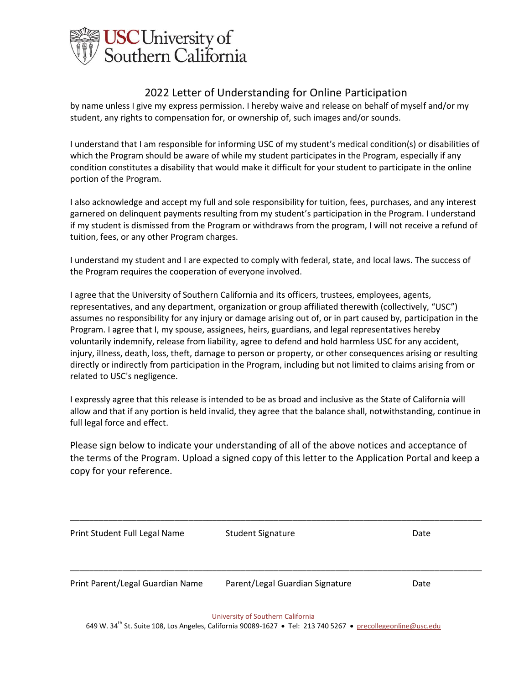

by name unless I give my express permission. I hereby waive and release on behalf of myself and/or my student, any rights to compensation for, or ownership of, such images and/or sounds.

I understand that I am responsible for informing USC of my student's medical condition(s) or disabilities of which the Program should be aware of while my student participates in the Program, especially if any condition constitutes a disability that would make it difficult for your student to participate in the online portion of the Program.

I also acknowledge and accept my full and sole responsibility for tuition, fees, purchases, and any interest garnered on delinquent payments resulting from my student's participation in the Program. I understand if my student is dismissed from the Program or withdraws from the program, I will not receive a refund of tuition, fees, or any other Program charges.

I understand my student and I are expected to comply with federal, state, and local laws. The success of the Program requires the cooperation of everyone involved.

I agree that the University of Southern California and its officers, trustees, employees, agents, representatives, and any department, organization or group affiliated therewith (collectively, "USC") assumes no responsibility for any injury or damage arising out of, or in part caused by, participation in the Program. I agree that I, my spouse, assignees, heirs, guardians, and legal representatives hereby voluntarily indemnify, release from liability, agree to defend and hold harmless USC for any accident, injury, illness, death, loss, theft, damage to person or property, or other consequences arising or resulting directly or indirectly from participation in the Program, including but not limited to claims arising from or related to USC's negligence.

I expressly agree that this release is intended to be as broad and inclusive as the State of California will allow and that if any portion is held invalid, they agree that the balance shall, notwithstanding, continue in full legal force and effect.

Please sign below to indicate your understanding of all of the above notices and acceptance of the terms of the Program. Upload a signed copy of this letter to the Application Portal and keep a copy for your reference.

\_\_\_\_\_\_\_\_\_\_\_\_\_\_\_\_\_\_\_\_\_\_\_\_\_\_\_\_\_\_\_\_\_\_\_\_\_\_\_\_\_\_\_\_\_\_\_\_\_\_\_\_\_\_\_\_\_\_\_\_\_\_\_\_\_\_\_\_\_\_\_\_\_\_\_\_\_\_\_\_\_\_\_\_\_\_\_

Print Student Full Legal Name Student Signature Communication of the Date \_\_\_\_\_\_\_\_\_\_\_\_\_\_\_\_\_\_\_\_\_\_\_\_\_\_\_\_\_\_\_\_\_\_\_\_\_\_\_\_\_\_\_\_\_\_\_\_\_\_\_\_\_\_\_\_\_\_\_\_\_\_\_\_\_\_\_\_\_\_\_\_\_\_\_\_\_\_\_\_\_\_\_\_\_\_\_ Print Parent/Legal Guardian Name Parent/Legal Guardian Signature Date

University of Southern California

649 W. 34<sup>th</sup> St. Suite 108, Los Angeles, California 90089-1627 • Tel: 213 740 5267 • precollegeonline@usc.edu